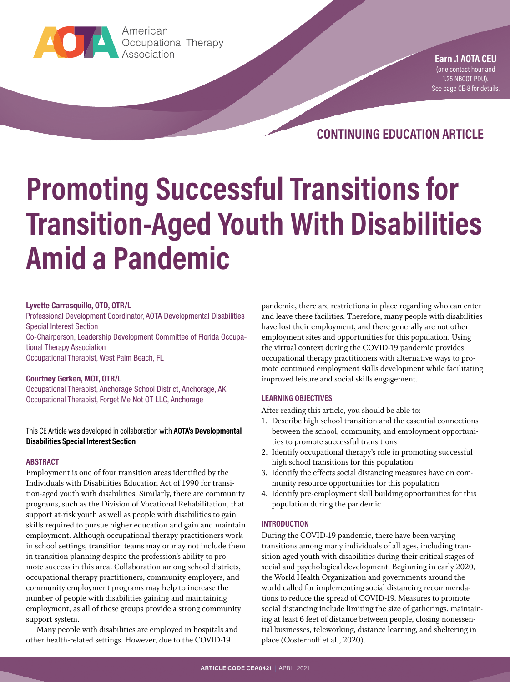

**Earn ...**<br>Association<br>Association American

**Earn .1 AOTA CEU** (one contact hour and 1.25 NBCOT PDU). [See page CE-8 for details](#page-7-0).

**CONTINUING EDUCATION ARTICLE**

# **Promoting Successful Transitions for Transition-Aged Youth With Disabilities Amid a Pandemic**

#### **Lyvette Carrasquillo, OTD, OTR/L**

Professional Development Coordinator, AOTA Developmental Disabilities Special Interest Section

Co-Chairperson, Leadership Development Committee of Florida Occupational Therapy Association

Occupational Therapist, West Palm Beach, FL

#### **Courtney Gerken, MOT, OTR/L**

Occupational Therapist, Anchorage School District, Anchorage, AK Occupational Therapist, Forget Me Not OT LLC, Anchorage

#### This CE Article was developed in collaboration with **AOTA's Developmental Disabilities Special Interest Section**

#### **ABSTRACT**

Employment is one of four transition areas identified by the Individuals with Disabilities Education Act of 1990 for transition-aged youth with disabilities. Similarly, there are community programs, such as the Division of Vocational Rehabilitation, that support at-risk youth as well as people with disabilities to gain skills required to pursue higher education and gain and maintain employment. Although occupational therapy practitioners work in school settings, transition teams may or may not include them in transition planning despite the profession's ability to promote success in this area. Collaboration among school districts, occupational therapy practitioners, community employers, and community employment programs may help to increase the number of people with disabilities gaining and maintaining employment, as all of these groups provide a strong community support system.

Many people with disabilities are employed in hospitals and other health-related settings. However, due to the COVID-19

pandemic, there are restrictions in place regarding who can enter and leave these facilities. Therefore, many people with disabilities have lost their employment, and there generally are not other employment sites and opportunities for this population. Using the virtual context during the COVID-19 pandemic provides occupational therapy practitioners with alternative ways to promote continued employment skills development while facilitating improved leisure and social skills engagement.

#### **LEARNING OBJECTIVES**

After reading this article, you should be able to:

- 1. Describe high school transition and the essential connections between the school, community, and employment opportunities to promote successful transitions
- 2. Identify occupational therapy's role in promoting successful high school transitions for this population
- 3. Identify the effects social distancing measures have on community resource opportunities for this population
- 4. Identify pre-employment skill building opportunities for this population during the pandemic

#### **INTRODUCTION**

During the COVID-19 pandemic, there have been varying transitions among many individuals of all ages, including transition-aged youth with disabilities during their critical stages of social and psychological development. Beginning in early 2020, the World Health Organization and governments around the world called for implementing social distancing recommendations to reduce the spread of COVID-19. Measures to promote social distancing include limiting the size of gatherings, maintaining at least 6 feet of distance between people, closing nonessential businesses, teleworking, distance learning, and sheltering in place (Oosterhoff et al., 2020).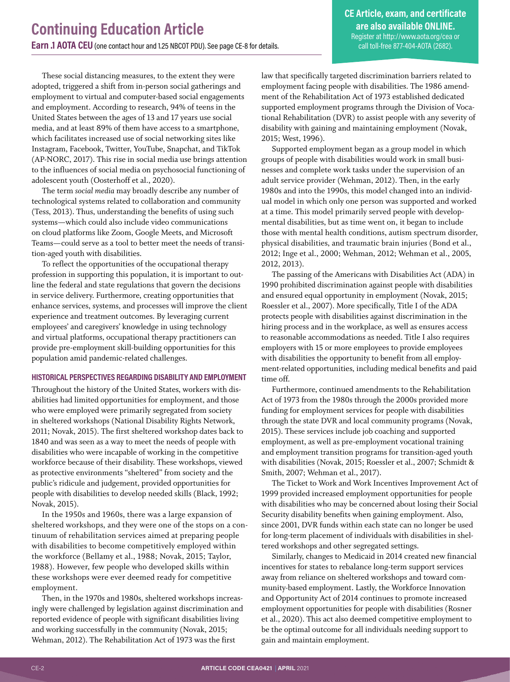**CE Article, exam, and certificate are also available ONLINE.** Register at<http://www.aota.org/cea> or call toll-free 877-404-AOTA (2682).

These social distancing measures, to the extent they were adopted, triggered a shift from in-person social gatherings and employment to virtual and computer-based social engagements and employment. According to research, 94% of teens in the United States between the ages of 13 and 17 years use social media, and at least 89% of them have access to a smartphone, which facilitates increased use of social networking sites like Instagram, Facebook, Twitter, YouTube, Snapchat, and TikTok (AP-NORC, 2017). This rise in social media use brings attention to the influences of social media on psychosocial functioning of adolescent youth (Oosterhoff et al., 2020).

The term *social media* may broadly describe any number of technological systems related to collaboration and community (Tess, 2013). Thus, understanding the benefits of using such systems—which could also include video communications on cloud platforms like Zoom, Google Meets, and Microsoft Teams—could serve as a tool to better meet the needs of transition-aged youth with disabilities.

To reflect the opportunities of the occupational therapy profession in supporting this population, it is important to outline the federal and state regulations that govern the decisions in service delivery. Furthermore, creating opportunities that enhance services, systems, and processes will improve the client experience and treatment outcomes. By leveraging current employees' and caregivers' knowledge in using technology and virtual platforms, occupational therapy practitioners can provide pre-employment skill-building opportunities for this population amid pandemic-related challenges.

#### **HISTORICAL PERSPECTIVES REGARDING DISABILITY AND EMPLOYMENT**

Throughout the history of the United States, workers with disabilities had limited opportunities for employment, and those who were employed were primarily segregated from society in sheltered workshops (National Disability Rights Network, 2011; Novak, 2015). The first sheltered workshop dates back to 1840 and was seen as a way to meet the needs of people with disabilities who were incapable of working in the competitive workforce because of their disability. These workshops, viewed as protective environments "sheltered" from society and the public's ridicule and judgement, provided opportunities for people with disabilities to develop needed skills (Black, 1992; Novak, 2015).

In the 1950s and 1960s, there was a large expansion of sheltered workshops, and they were one of the stops on a continuum of rehabilitation services aimed at preparing people with disabilities to become competitively employed within the workforce (Bellamy et al., 1988; Novak, 2015; Taylor, 1988). However, few people who developed skills within these workshops were ever deemed ready for competitive employment.

Then, in the 1970s and 1980s, sheltered workshops increasingly were challenged by legislation against discrimination and reported evidence of people with significant disabilities living and working successfully in the community (Novak, 2015; Wehman, 2012). The Rehabilitation Act of 1973 was the first

law that specifically targeted discrimination barriers related to employment facing people with disabilities. The 1986 amendment of the Rehabilitation Act of 1973 established dedicated supported employment programs through the Division of Vocational Rehabilitation (DVR) to assist people with any severity of disability with gaining and maintaining employment (Novak, 2015; West, 1996).

Supported employment began as a group model in which groups of people with disabilities would work in small businesses and complete work tasks under the supervision of an adult service provider (Wehman, 2012). Then, in the early 1980s and into the 1990s, this model changed into an individual model in which only one person was supported and worked at a time. This model primarily served people with developmental disabilities, but as time went on, it began to include those with mental health conditions, autism spectrum disorder, physical disabilities, and traumatic brain injuries (Bond et al., 2012; Inge et al., 2000; Wehman, 2012; Wehman et al., 2005, 2012, 2013).

The passing of the Americans with Disabilities Act (ADA) in 1990 prohibited discrimination against people with disabilities and ensured equal opportunity in employment (Novak, 2015; Roessler et al., 2007). More specifically, Title I of the ADA protects people with disabilities against discrimination in the hiring process and in the workplace, as well as ensures access to reasonable accommodations as needed. Title I also requires employers with 15 or more employees to provide employees with disabilities the opportunity to benefit from all employment-related opportunities, including medical benefits and paid time off.

Furthermore, continued amendments to the Rehabilitation Act of 1973 from the 1980s through the 2000s provided more funding for employment services for people with disabilities through the state DVR and local community programs (Novak, 2015). These services include job coaching and supported employment, as well as pre-employment vocational training and employment transition programs for transition-aged youth with disabilities (Novak, 2015; Roessler et al., 2007; Schmidt & Smith, 2007; Wehman et al., 2017).

The Ticket to Work and Work Incentives Improvement Act of 1999 provided increased employment opportunities for people with disabilities who may be concerned about losing their Social Security disability benefits when gaining employment. Also, since 2001, DVR funds within each state can no longer be used for long-term placement of individuals with disabilities in sheltered workshops and other segregated settings.

Similarly, changes to Medicaid in 2014 created new financial incentives for states to rebalance long-term support services away from reliance on sheltered workshops and toward community-based employment. Lastly, the Workforce Innovation and Opportunity Act of 2014 continues to promote increased employment opportunities for people with disabilities (Rosner et al., 2020). This act also deemed competitive employment to be the optimal outcome for all individuals needing support to gain and maintain employment.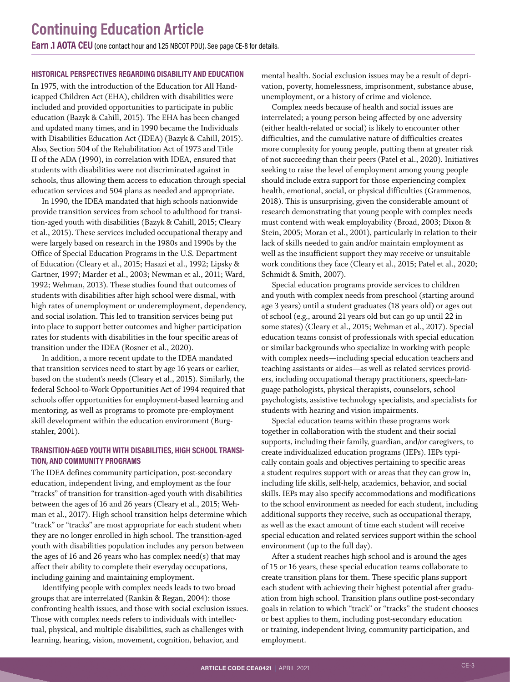#### **HISTORICAL PERSPECTIVES REGARDING DISABILITY AND EDUCATION**

In 1975, with the introduction of the Education for All Handicapped Children Act (EHA), children with disabilities were included and provided opportunities to participate in public education (Bazyk & Cahill, 2015). The EHA has been changed and updated many times, and in 1990 became the Individuals with Disabilities Education Act (IDEA) (Bazyk & Cahill, 2015). Also, Section 504 of the Rehabilitation Act of 1973 and Title II of the ADA (1990), in correlation with IDEA, ensured that students with disabilities were not discriminated against in schools, thus allowing them access to education through special education services and 504 plans as needed and appropriate.

In 1990, the IDEA mandated that high schools nationwide provide transition services from school to adulthood for transition-aged youth with disabilities (Bazyk & Cahill, 2015; Cleary et al., 2015). These services included occupational therapy and were largely based on research in the 1980s and 1990s by the Office of Special Education Programs in the U.S. Department of Education (Cleary et al., 2015; Hasazi et al., 1992; Lipsky & Gartner, 1997; Marder et al., 2003; Newman et al., 2011; Ward, 1992; Wehman, 2013). These studies found that outcomes of students with disabilities after high school were dismal, with high rates of unemployment or underemployment, dependency, and social isolation. This led to transition services being put into place to support better outcomes and higher participation rates for students with disabilities in the four specific areas of transition under the IDEA (Rosner et al., 2020).

In addition, a more recent update to the IDEA mandated that transition services need to start by age 16 years or earlier, based on the student's needs (Cleary et al., 2015). Similarly, the federal School-to-Work Opportunities Act of 1994 required that schools offer opportunities for employment-based learning and mentoring, as well as programs to promote pre-employment skill development within the education environment (Burgstahler, 2001).

#### **TRANSITION-AGED YOUTH WITH DISABILITIES, HIGH SCHOOL TRANSI-TION, AND COMMUNITY PROGRAMS**

The IDEA defines community participation, post-secondary education, independent living, and employment as the four "tracks" of transition for transition-aged youth with disabilities between the ages of 16 and 26 years (Cleary et al., 2015; Wehman et al., 2017). High school transition helps determine which "track" or "tracks" are most appropriate for each student when they are no longer enrolled in high school. The transition-aged youth with disabilities population includes any person between the ages of 16 and 26 years who has complex need(s) that may affect their ability to complete their everyday occupations, including gaining and maintaining employment.

Identifying people with complex needs leads to two broad groups that are interrelated (Rankin & Regan, 2004): those confronting health issues, and those with social exclusion issues. Those with complex needs refers to individuals with intellectual, physical, and multiple disabilities, such as challenges with learning, hearing, vision, movement, cognition, behavior, and

mental health. Social exclusion issues may be a result of deprivation, poverty, homelessness, imprisonment, substance abuse, unemployment, or a history of crime and violence.

Complex needs because of health and social issues are interrelated; a young person being affected by one adversity (either health-related or social) is likely to encounter other difficulties, and the cumulative nature of difficulties creates more complexity for young people, putting them at greater risk of not succeeding than their peers (Patel et al., 2020). Initiatives seeking to raise the level of employment among young people should include extra support for those experiencing complex health, emotional, social, or physical difficulties (Grammenos, 2018). This is unsurprising, given the considerable amount of research demonstrating that young people with complex needs must contend with weak employability (Broad, 2003; Dixon & Stein, 2005; Moran et al., 2001), particularly in relation to their lack of skills needed to gain and/or maintain employment as well as the insufficient support they may receive or unsuitable work conditions they face (Cleary et al., 2015; Patel et al., 2020; Schmidt & Smith, 2007).

Special education programs provide services to children and youth with complex needs from preschool (starting around age 3 years) until a student graduates (18 years old) or ages out of school (e.g., around 21 years old but can go up until 22 in some states) (Cleary et al., 2015; Wehman et al., 2017). Special education teams consist of professionals with special education or similar backgrounds who specialize in working with people with complex needs—including special education teachers and teaching assistants or aides—as well as related services providers, including occupational therapy practitioners, speech-language pathologists, physical therapists, counselors, school psychologists, assistive technology specialists, and specialists for students with hearing and vision impairments.

Special education teams within these programs work together in collaboration with the student and their social supports, including their family, guardian, and/or caregivers, to create individualized education programs (IEPs). IEPs typically contain goals and objectives pertaining to specific areas a student requires support with or areas that they can grow in, including life skills, self-help, academics, behavior, and social skills. IEPs may also specify accommodations and modifications to the school environment as needed for each student, including additional supports they receive, such as occupational therapy, as well as the exact amount of time each student will receive special education and related services support within the school environment (up to the full day).

After a student reaches high school and is around the ages of 15 or 16 years, these special education teams collaborate to create transition plans for them. These specific plans support each student with achieving their highest potential after graduation from high school. Transition plans outline post-secondary goals in relation to which "track" or "tracks" the student chooses or best applies to them, including post-secondary education or training, independent living, community participation, and employment.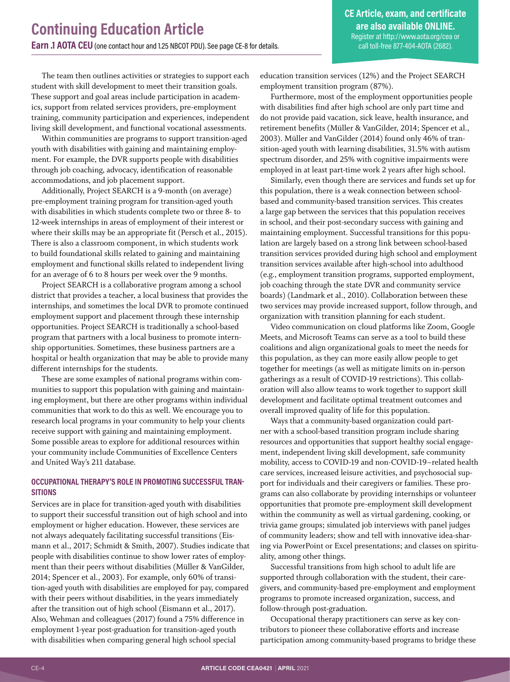**CE Article, exam, and certificate are also available ONLINE.** Register at<http://www.aota.org/cea> or call toll-free 877-404-AOTA (2682).

The team then outlines activities or strategies to support each student with skill development to meet their transition goals. These support and goal areas include participation in academics, support from related services providers, pre-employment training, community participation and experiences, independent living skill development, and functional vocational assessments.

Within communities are programs to support transition-aged youth with disabilities with gaining and maintaining employment. For example, the DVR supports people with disabilities through job coaching, advocacy, identification of reasonable accommodations, and job placement support.

Additionally, Project SEARCH is a 9-month (on average) pre-employment training program for transition-aged youth with disabilities in which students complete two or three 8- to 12-week internships in areas of employment of their interest or where their skills may be an appropriate fit (Persch et al., 2015). There is also a classroom component, in which students work to build foundational skills related to gaining and maintaining employment and functional skills related to independent living for an average of 6 to 8 hours per week over the 9 months.

Project SEARCH is a collaborative program among a school district that provides a teacher, a local business that provides the internships, and sometimes the local DVR to promote continued employment support and placement through these internship opportunities. Project SEARCH is traditionally a school-based program that partners with a local business to promote internship opportunities. Sometimes, these business partners are a hospital or health organization that may be able to provide many different internships for the students.

These are some examples of national programs within communities to support this population with gaining and maintaining employment, but there are other programs within individual communities that work to do this as well. We encourage you to research local programs in your community to help your clients receive support with gaining and maintaining employment. Some possible areas to explore for additional resources within your community include Communities of Excellence Centers and United Way's 211 database.

#### **OCCUPATIONAL THERAPY'S ROLE IN PROMOTING SUCCESSFUL TRAN-SITIONS**

Services are in place for transition-aged youth with disabilities to support their successful transition out of high school and into employment or higher education. However, these services are not always adequately facilitating successful transitions (Eismann et al., 2017; Schmidt & Smith, 2007). Studies indicate that people with disabilities continue to show lower rates of employment than their peers without disabilities (Müller & VanGilder, 2014; Spencer et al., 2003). For example, only 60% of transition-aged youth with disabilities are employed for pay, compared with their peers without disabilities, in the years immediately after the transition out of high school (Eismann et al., 2017). Also, Wehman and colleagues (2017) found a 75% difference in employment 1-year post-graduation for transition-aged youth with disabilities when comparing general high school special

education transition services (12%) and the Project SEARCH employment transition program (87%).

Furthermore, most of the employment opportunities people with disabilities find after high school are only part time and do not provide paid vacation, sick leave, health insurance, and retirement benefits (Müller & VanGilder, 2014; Spencer et al., 2003). Müller and VanGilder (2014) found only 46% of transition-aged youth with learning disabilities, 31.5% with autism spectrum disorder, and 25% with cognitive impairments were employed in at least part-time work 2 years after high school.

Similarly, even though there are services and funds set up for this population, there is a weak connection between schoolbased and community-based transition services. This creates a large gap between the services that this population receives in school, and their post-secondary success with gaining and maintaining employment. Successful transitions for this population are largely based on a strong link between school-based transition services provided during high school and employment transition services available after high-school into adulthood (e.g., employment transition programs, supported employment, job coaching through the state DVR and community service boards) (Landmark et al., 2010). Collaboration between these two services may provide increased support, follow through, and organization with transition planning for each student.

Video communication on cloud platforms like Zoom, Google Meets, and Microsoft Teams can serve as a tool to build these coalitions and align organizational goals to meet the needs for this population, as they can more easily allow people to get together for meetings (as well as mitigate limits on in-person gatherings as a result of COVID-19 restrictions). This collaboration will also allow teams to work together to support skill development and facilitate optimal treatment outcomes and overall improved quality of life for this population.

Ways that a community-based organization could partner with a school-based transition program include sharing resources and opportunities that support healthy social engagement, independent living skill development, safe community mobility, access to COVID-19 and non-COVID-19–related health care services, increased leisure activities, and psychosocial support for individuals and their caregivers or families. These programs can also collaborate by providing internships or volunteer opportunities that promote pre-employment skill development within the community as well as virtual gardening, cooking, or trivia game groups; simulated job interviews with panel judges of community leaders; show and tell with innovative idea-sharing via PowerPoint or Excel presentations; and classes on spirituality, among other things.

Successful transitions from high school to adult life are supported through collaboration with the student, their caregivers, and community-based pre-employment and employment programs to promote increased organization, success, and follow-through post-graduation.

Occupational therapy practitioners can serve as key contributors to pioneer these collaborative efforts and increase participation among community-based programs to bridge these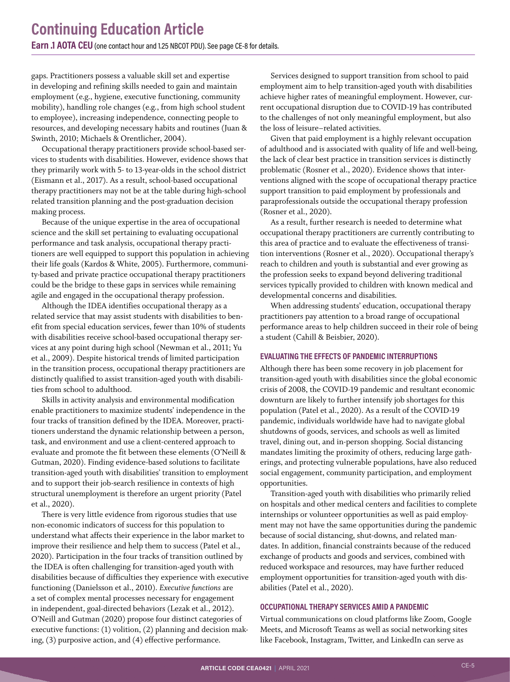gaps. Practitioners possess a valuable skill set and expertise in developing and refining skills needed to gain and maintain employment (e.g., hygiene, executive functioning, community mobility), handling role changes (e.g., from high school student to employee), increasing independence, connecting people to resources, and developing necessary habits and routines (Juan & Swinth, 2010; Michaels & Orentlicher, 2004).

Occupational therapy practitioners provide school-based services to students with disabilities. However, evidence shows that they primarily work with 5- to 13-year-olds in the school district (Eismann et al., 2017). As a result, school-based occupational therapy practitioners may not be at the table during high-school related transition planning and the post-graduation decision making process.

Because of the unique expertise in the area of occupational science and the skill set pertaining to evaluating occupational performance and task analysis, occupational therapy practitioners are well equipped to support this population in achieving their life goals (Kardos & White, 2005). Furthermore, community-based and private practice occupational therapy practitioners could be the bridge to these gaps in services while remaining agile and engaged in the occupational therapy profession.

Although the IDEA identifies occupational therapy as a related service that may assist students with disabilities to benefit from special education services, fewer than 10% of students with disabilities receive school-based occupational therapy services at any point during high school (Newman et al., 2011; Yu et al., 2009). Despite historical trends of limited participation in the transition process, occupational therapy practitioners are distinctly qualified to assist transition-aged youth with disabilities from school to adulthood.

Skills in activity analysis and environmental modification enable practitioners to maximize students' independence in the four tracks of transition defined by the IDEA. Moreover, practitioners understand the dynamic relationship between a person, task, and environment and use a client-centered approach to evaluate and promote the fit between these elements (O'Neill & Gutman, 2020). Finding evidence-based solutions to facilitate transition-aged youth with disabilities' transition to employment and to support their job-search resilience in contexts of high structural unemployment is therefore an urgent priority (Patel et al., 2020).

There is very little evidence from rigorous studies that use non-economic indicators of success for this population to understand what affects their experience in the labor market to improve their resilience and help them to success (Patel et al., 2020). Participation in the four tracks of transition outlined by the IDEA is often challenging for transition-aged youth with disabilities because of difficulties they experience with executive functioning (Danielsson et al., 2010). *Executive functions* are a set of complex mental processes necessary for engagement in independent, goal-directed behaviors (Lezak et al., 2012). O'Neill and Gutman (2020) propose four distinct categories of executive functions: (1) volition, (2) planning and decision making, (3) purposive action, and (4) effective performance.

Services designed to support transition from school to paid employment aim to help transition-aged youth with disabilities achieve higher rates of meaningful employment. However, current occupational disruption due to COVID-19 has contributed to the challenges of not only meaningful employment, but also the loss of leisure–related activities.

Given that paid employment is a highly relevant occupation of adulthood and is associated with quality of life and well-being, the lack of clear best practice in transition services is distinctly problematic (Rosner et al., 2020). Evidence shows that interventions aligned with the scope of occupational therapy practice support transition to paid employment by professionals and paraprofessionals outside the occupational therapy profession (Rosner et al., 2020).

As a result, further research is needed to determine what occupational therapy practitioners are currently contributing to this area of practice and to evaluate the effectiveness of transition interventions (Rosner et al., 2020). Occupational therapy's reach to children and youth is substantial and ever growing as the profession seeks to expand beyond delivering traditional services typically provided to children with known medical and developmental concerns and disabilities.

When addressing students' education, occupational therapy practitioners pay attention to a broad range of occupational performance areas to help children succeed in their role of being a student (Cahill & Beisbier, 2020).

#### **EVALUATING THE EFFECTS OF PANDEMIC INTERRUPTIONS**

Although there has been some recovery in job placement for transition-aged youth with disabilities since the global economic crisis of 2008, the COVID-19 pandemic and resultant economic downturn are likely to further intensify job shortages for this population (Patel et al., 2020). As a result of the COVID-19 pandemic, individuals worldwide have had to navigate global shutdowns of goods, services, and schools as well as limited travel, dining out, and in-person shopping. Social distancing mandates limiting the proximity of others, reducing large gatherings, and protecting vulnerable populations, have also reduced social engagement, community participation, and employment opportunities.

Transition-aged youth with disabilities who primarily relied on hospitals and other medical centers and facilities to complete internships or volunteer opportunities as well as paid employment may not have the same opportunities during the pandemic because of social distancing, shut-downs, and related mandates. In addition, financial constraints because of the reduced exchange of products and goods and services, combined with reduced workspace and resources, may have further reduced employment opportunities for transition-aged youth with disabilities (Patel et al., 2020).

#### **OCCUPATIONAL THERAPY SERVICES AMID A PANDEMIC**

Virtual communications on cloud platforms like Zoom, Google Meets, and Microsoft Teams as well as social networking sites like Facebook, Instagram, Twitter, and LinkedIn can serve as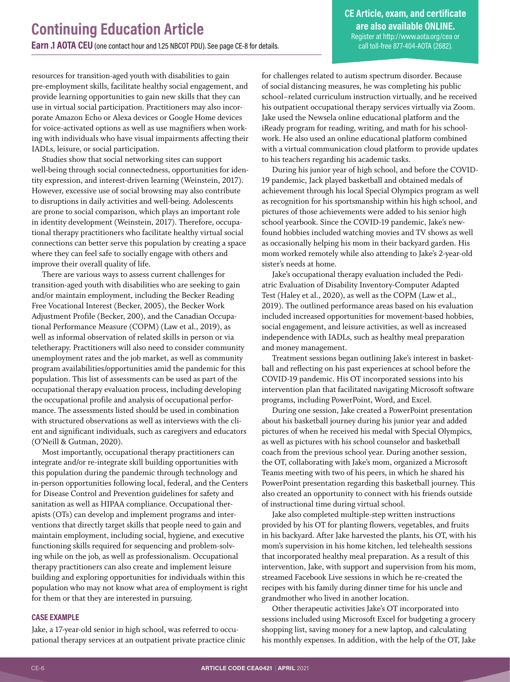resources for transition-aged youth with disabilities to gain pre-employment skills, facilitate healthy social engagement, and provide learning opportunities to gain new skills that they can use in virtual social participation. Practitioners may also incorporate Amazon Echo or Alexa devices or Google Home devices for voice-activated options as well as use magnifiers when working with individuals who have visual impairments affecting their IADLs, leisure, or social participation.

Studies show that social networking sites can support well-being through social connectedness, opportunities for identity expression, and interest-driven learning (Weinstein, 2017). However, excessive use of social browsing may also contribute to disruptions in daily activities and well-being. Adolescents are prone to social comparison, which plays an important role in identity development (Weinstein, 2017). Therefore, occupational therapy practitioners who facilitate healthy virtual social connections can better serve this population by creating a space where they can feel safe to socially engage with others and improve their overall quality of life.

There are various ways to assess current challenges for transition-aged youth with disabilities who are seeking to gain and/or maintain employment, including the Becker Reading Free Vocational Interest (Becker, 2005), the Becker Work Adjustment Profile (Becker, 200), and the Canadian Occupational Performance Measure (COPM) (Law et al., 2019), as well as informal observation of related skills in person or via teletherapy. Practitioners will also need to consider community unemployment rates and the job market, as well as community program availabilities/opportunities amid the pandemic for this population. This list of assessments can be used as part of the occupational therapy evaluation process, including developing the occupational profile and analysis of occupational performance. The assessments listed should be used in combination with structured observations as well as interviews with the client and significant individuals, such as caregivers and educators (O'Neill & Gutman, 2020).

Most importantly, occupational therapy practitioners can integrate and/or re-integrate skill building opportunities with this population during the pandemic through technology and in-person opportunities following local, federal, and the Centers for Disease Control and Prevention guidelines for safety and sanitation as well as HIPAA compliance. Occupational therapists (OTs) can develop and implement programs and interventions that directly target skills that people need to gain and maintain employment, including social, hygiene, and executive functioning skills required for sequencing and problem-solving while on the job, as well as professionalism. Occupational therapy practitioners can also create and implement leisure building and exploring opportunities for individuals within this population who may not know what area of employment is right for them or that they are interested in pursuing.

#### **CASE EXAMPLE**

Jake, a 17-year-old senior in high school, was referred to occupational therapy services at an outpatient private practice clinic for challenges related to autism spectrum disorder. Because of social distancing measures, he was completing his public school–related curriculum instruction virtually, and he received his outpatient occupational therapy services virtually via Zoom. Jake used the Newsela online educational platform and the iReady program for reading, writing, and math for his schoolwork. He also used an online educational platform combined with a virtual communication cloud platform to provide updates to his teachers regarding his academic tasks.

During his junior year of high school, and before the COVID-19 pandemic, Jack played basketball and obtained medals of achievement through his local Special Olympics program as well as recognition for his sportsmanship within his high school, and pictures of those achievements were added to his senior high school yearbook. Since the COVID-19 pandemic, Jake's newfound hobbies included watching movies and TV shows as well as occasionally helping his mom in their backyard garden. His mom worked remotely while also attending to Jake's 2-year-old sister's needs at home.

Jake's occupational therapy evaluation included the Pediatric Evaluation of Disability Inventory-Computer Adapted Test (Haley et al., 2020), as well as the COPM (Law et al., 2019). The outlined performance areas based on his evaluation included increased opportunities for movement-based hobbies, social engagement, and leisure activities, as well as increased independence with IADLs, such as healthy meal preparation and money management.

Treatment sessions began outlining Jake's interest in basketball and reflecting on his past experiences at school before the COVID-19 pandemic. His OT incorporated sessions into his intervention plan that facilitated navigating Microsoft software programs, including PowerPoint, Word, and Excel.

During one session, Jake created a PowerPoint presentation about his basketball journey during his junior year and added pictures of when he received his medal with Special Olympics, as well as pictures with his school counselor and basketball coach from the previous school year. During another session, the OT, collaborating with Jake's mom, organized a Microsoft Teams meeting with two of his peers, in which he shared his PowerPoint presentation regarding this basketball journey. This also created an opportunity to connect with his friends outside of instructional time during virtual school.

Jake also completed multiple-step written instructions provided by his OT for planting flowers, vegetables, and fruits in his backyard. After Jake harvested the plants, his OT, with his mom's supervision in his home kitchen, led telehealth sessions that incorporated healthy meal preparation. As a result of this intervention, Jake, with support and supervision from his mom, streamed Facebook Live sessions in which he re-created the recipes with his family during dinner time for his uncle and grandmother who lived in another location.

Other therapeutic activities Jake's OT incorporated into sessions included using Microsoft Excel for budgeting a grocery shopping list, saving money for a new laptop, and calculating his monthly expenses. In addition, with the help of the OT, Jake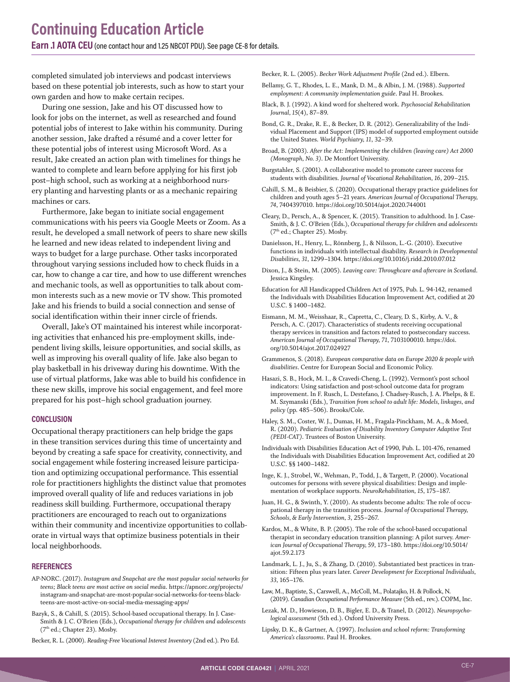completed simulated job interviews and podcast interviews based on these potential job interests, such as how to start your own garden and how to make certain recipes.

During one session, Jake and his OT discussed how to look for jobs on the internet, as well as researched and found potential jobs of interest to Jake within his community. During another session, Jake drafted a résumé and a cover letter for these potential jobs of interest using Microsoft Word. As a result, Jake created an action plan with timelines for things he wanted to complete and learn before applying for his first job post–high school, such as working at a neighborhood nursery planting and harvesting plants or as a mechanic repairing machines or cars.

Furthermore, Jake began to initiate social engagement communications with his peers via Google Meets or Zoom. As a result, he developed a small network of peers to share new skills he learned and new ideas related to independent living and ways to budget for a large purchase. Other tasks incorporated throughout varying sessions included how to check fluids in a car, how to change a car tire, and how to use different wrenches and mechanic tools, as well as opportunities to talk about common interests such as a new movie or TV show. This promoted Jake and his friends to build a social connection and sense of social identification within their inner circle of friends.

Overall, Jake's OT maintained his interest while incorporating activities that enhanced his pre-employment skills, independent living skills, leisure opportunities, and social skills, as well as improving his overall quality of life. Jake also began to play basketball in his driveway during his downtime. With the use of virtual platforms, Jake was able to build his confidence in these new skills, improve his social engagement, and feel more prepared for his post–high school graduation journey.

#### **CONCLUSION**

Occupational therapy practitioners can help bridge the gaps in these transition services during this time of uncertainty and beyond by creating a safe space for creativity, connectivity, and social engagement while fostering increased leisure participation and optimizing occupational performance. This essential role for practitioners highlights the distinct value that promotes improved overall quality of life and reduces variations in job readiness skill building. Furthermore, occupational therapy practitioners are encouraged to reach out to organizations within their community and incentivize opportunities to collaborate in virtual ways that optimize business potentials in their local neighborhoods.

#### **REFERENCES**

- AP-NORC. (2017). *Instagram and Snapchat are the most popular social networks for teens; Black teens are most active on social media*. [https://apnorc.org/projects/](https://apnorc.org/projects/instagram-and-snapchat-are-most-popular-social-networks-for-teens-black-teens-are-most-active-on-social-media-messaging-apps/) [instagram-and-snapchat-are-most-popular-social-networks-for-teens-black](https://apnorc.org/projects/instagram-and-snapchat-are-most-popular-social-networks-for-teens-black-teens-are-most-active-on-social-media-messaging-apps/)[teens-are-most-active-on-social-media-messaging-apps/](https://apnorc.org/projects/instagram-and-snapchat-are-most-popular-social-networks-for-teens-black-teens-are-most-active-on-social-media-messaging-apps/)
- Bazyk, S., & Cahill, S. (2015). School-based occupational therapy. In J. Case-Smith & J. C. O'Brien (Eds.), *Occupational therapy for children and adolescents* (7<sup>th</sup> ed.; Chapter 23). Mosby.

Becker, R. L. (2000). *Reading-Free Vocational Interest Inventory* (2nd ed.). Pro Ed.

Becker, R. L. (2005). *Becker Work Adjustment Profile* (2nd ed.). Elbern.

- Bellamy, G. T., Rhodes, L. E., Mank, D. M., & Albin, J. M. (1988). *Supported employment: A community implementation guide*. Paul H. Brookes.
- Black, B. J. (1992). A kind word for sheltered work. *Psychosocial Rehabilitation Journal, 15*(4), 87–89.
- Bond, G. R., Drake, R. E., & Becker, D. R. (2012). Generalizability of the Individual Placement and Support (IPS) model of supported employment outside the United States. *World Psychiatry, 11*, 32–39.
- Broad, B. (2003). *After the Act: Implementing the children (leaving care) Act 2000 (Monograph, No. 3)*. De Montfort University.
- Burgstahler, S. (2001). A collaborative model to promote career success for students with disabilities. *Journal of Vocational Rehabilitation, 16*, 209–215.
- Cahill, S. M., & Beisbier, S. (2020). Occupational therapy practice guidelines for children and youth ages 5–21 years. *American Journal of Occupational Therapy, 74*, 7404397010.<https://doi.org/10.5014/ajot.2020.744001>
- Cleary, D., Persch, A., & Spencer, K. (2015). Transition to adulthood. In J. Case-Smith, & J. C. O'Brien (Eds.), *Occupational therapy for children and adolescents* (7<sup>th</sup> ed.; Chapter 25). Mosby.
- Danielsson, H., Henry, L., Rönnberg, J., & Nilsson, L.-G. (2010). Executive functions in individuals with intellectual disability. *Research in Developmental Disabilities, 31*, 1299–1304. <https://doi.org/10.1016/j.ridd.2010.07.012>
- Dixon, J., & Stein, M. (2005). *Leaving care: Throughcare and aftercare in Scotland*. Jessica Kingsley.
- Education for All Handicapped Children Act of 1975, Pub. L. 94-142, renamed the Individuals with Disabilities Education Improvement Act, codified at 20 U.S.C. § 1400–1482.
- Eismann, M. M., Weisshaar, R., Capretta, C., Cleary, D. S., Kirby, A. V., & Persch, A. C. (2017). Characteristics of students receiving occupational therapy services in transition and factors related to postsecondary success. *American Journal of Occupational Therapy, 71*, 7103100010. [https://doi.](https://doi.org/10.5014/ajot.2017.024927) [org/10.5014/ajot.2017.024927](https://doi.org/10.5014/ajot.2017.024927)
- Grammenos, S. (2018). *European comparative data on Europe 2020 & people with disabilities*. Centre for European Social and Economic Policy.
- Hasazi, S. B., Hock, M. I., & Cravedi-Cheng, L. (1992). Vermont's post school indicators: Using satisfaction and post-school outcome data for program improvement. In F. Rusch, L. Destefano, J. Chadsey-Rusch, J. A. Phelps, & E. M. Szymanski (Eds.), *Transition from school to adult life: Models, linkages, and policy* (pp. 485–506). Brooks/Cole.
- Haley, S. M., Coster, W. J., Dumas, H. M., Fragala-Pinckham, M. A., & Moed, R. (2020). *Pediatric Evaluation of Disability Inventory Computer Adaptive Test (PEDI-CAT)*. Trustees of Boston University.
- Individuals with Disabilities Education Act of 1990, Pub. L. 101-476, renamed the Individuals with Disabilities Education Improvement Act, codified at 20 U.S.C. §§ 1400–1482.
- Inge, K. J., Strobel, W., Wehman, P., Todd, J., & Targett, P. (2000). Vocational outcomes for persons with severe physical disabilities: Design and implementation of workplace supports. *NeuroRehabilitation, 15*, 175–187.
- Juan, H. G., & Swinth, Y. (2010). As students become adults: The role of occupational therapy in the transition process. *Journal of Occupational Therapy, Schools, & Early Intervention, 3*, 255–267.
- Kardos, M., & White, B. P. (2005). The role of the school-based occupational therapist in secondary education transition planning: A pilot survey. *American Journal of Occupational Therapy, 59*, 173–180. [https://doi.org/10.5014/](https://doi.org/10.5014/ajot.59.2.173) [ajot.59.2.173](https://doi.org/10.5014/ajot.59.2.173)
- Landmark, L. J., Ju, S., & Zhang, D. (2010). Substantiated best practices in transition: Fifteen plus years later. *Career Development for Exceptional Individuals, 33*, 165–176.
- Law, M., Baptiste, S., Carswell, A., McColl, M., Polatajko, H. & Pollock, N. (2019). *Canadian Occupational Performance Measure*(5th ed., rev.). COPM, Inc.
- Lezak, M. D., Howieson, D. B., Bigler, E. D., & Tranel, D. (2012). *Neuropsychological assessment* (5th ed.). Oxford University Press.
- Lipsky, D. K., & Gartner, A. (1997). *Inclusion and school reform: Transforming America's classrooms*. Paul H. Brookes.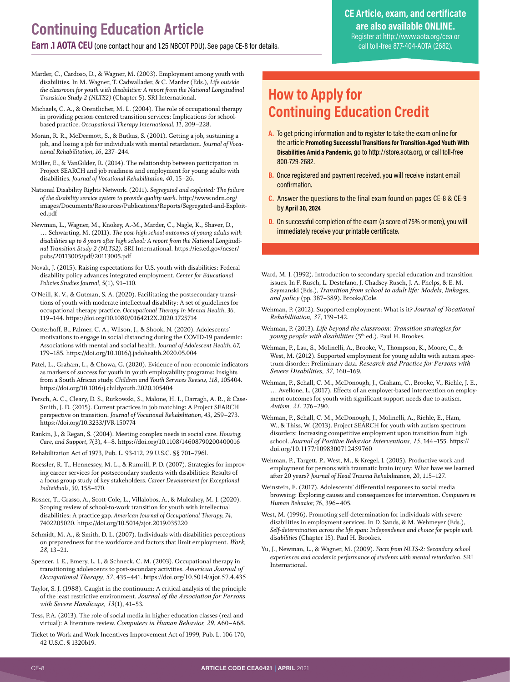- <span id="page-7-0"></span>Marder, C., Cardoso, D., & Wagner, M. (2003). Employment among youth with disabilities. In M. Wagner, T. Cadwallader, & C. Marder (Eds.), *Life outside the classroom for youth with disabilities: A report from the National Longitudinal Transition Study-2 (NLTS2)* (Chapter 5). SRI International.
- Michaels, C. A., & Orentlicher, M. L. (2004). The role of occupational therapy in providing person-centered transition services: Implications for schoolbased practice. *Occupational Therapy International, 11*, 209–228.
- Moran, R. R., McDermott, S., & Butkus, S. (2001). Getting a job, sustaining a job, and losing a job for individuals with mental retardation. *Journal of Vocational Rehabilitation, 16*, 237–244.
- Müller, E., & VanGilder, R. (2014). The relationship between participation in Project SEARCH and job readiness and employment for young adults with disabilities. *Journal of Vocational Rehabilitation, 40*, 15–26.
- National Disability Rights Network. (2011). *Segregated and exploited: The failure of the disability service system to provide quality work*. [http://www.ndrn.org/](http://www.ndrn.org/images/Documents/Resources/Publications/Reports/Segregated-and-Exploited.pdf) [images/Documents/Resources/Publications/Reports/Segregated-and-Exploit](http://www.ndrn.org/images/Documents/Resources/Publications/Reports/Segregated-and-Exploited.pdf)[ed.pdf](http://www.ndrn.org/images/Documents/Resources/Publications/Reports/Segregated-and-Exploited.pdf)
- Newman, L., Wagner, M., Knokey, A.-M., Marder, C., Nagle, K., Shaver, D., … Schwarting, M. (2011). *The post-high school outcomes of young adults with disabilities up to 8 years after high school: A report from the National Longitudinal Transition Study-2 (NLTS2)*. SRI International. [https://ies.ed.gov/ncser/](https://ies.ed.gov/ncser/pubs/20113005/pdf/20113005.pdf) [pubs/20113005/pdf/20113005.pdf](https://ies.ed.gov/ncser/pubs/20113005/pdf/20113005.pdf)
- Novak, J. (2015). Raising expectations for U.S. youth with disabilities: Federal disability policy advances integrated employment. *Center for Educational Policies Studies Journal, 5*(1), 91–110.
- O'Neill, K. V., & Gutman, S. A. (2020). Facilitating the postsecondary transitions of youth with moderate intellectual disability: A set of guidelines for occupational therapy practice. *Occupational Therapy in Mental Health, 36,*  119–144. <https://doi.org/10.1080/0164212X.2020.1725714>
- Oosterhoff, B., Palmer, C. A., Wilson, J., & Shook, N. (2020). Adolescents' motivations to engage in social distancing during the COVID-19 pandemic: Associations with mental and social health. *Journal of Adolescent Health, 67,* 179–185.<https://doi.org/10.1016/j.jadohealth.2020.05.004>
- Patel, L., Graham, L., & Chowa, G. (2020). Evidence of non-economic indicators as markers of success for youth in youth employability programs: Insights from a South African study. *Children and Youth Services Review, 118*, 105404. <https://doi.org/10.1016/j.childyouth.2020.105404>
- Persch, A. C., Cleary, D. S., Rutkowski, S., Malone, H. I., Darragh, A. R., & Case-Smith, J. D. (2015). Current practices in job matching: A Project SEARCH perspective on transition. *Journal of Vocational Rehabilitation, 43*, 259–273. <https://doi.org/10.3233/JVR-150774>
- Rankin, J., & Regan, S. (2004). Meeting complex needs in social care. *Housing, Care, and Support, 7*(3), 4–8.<https://doi.org/10.1108/14608790200400016>
- Rehabilitation Act of 1973, Pub. L. 93-112, 29 U.S.C. §§ 701–796l.
- Roessler, R. T., Hennessey, M. L., & Rumrill, P. D. (2007). Strategies for improving career services for postsecondary students with disabilities: Results of a focus group study of key stakeholders. *Career Development for Exceptional Individuals, 30*, 158–170.
- Rosner, T., Grasso, A., Scott-Cole, L., Villalobos, A., & Mulcahey, M. J. (2020). Scoping review of school-to-work transition for youth with intellectual disabilities: A practice gap. *American Journal of Occupational Therapy, 74*, 7402205020. <https://doi.org/10.5014/ajot.2019.035220>
- Schmidt, M. A., & Smith, D. L. (2007). Individuals with disabilities perceptions on preparedness for the workforce and factors that limit employment. *Work, 28*, 13–21.
- Spencer, J. E., Emery, L. J., & Schneck, C. M. (2003). Occupational therapy in transitioning adolescents to post-secondary activities. *American Journal of Occupational Therapy, 57*, 435–441. <https://doi.org/10.5014/ajot.57.4.435>
- Taylor, S. J. (1988). Caught in the continuum: A critical analysis of the principle of the least restrictive environment. *Journal of the Association for Persons with Severe Handicaps, 13*(1), 41–53.
- Tess, P.A. (2013). The role of social media in higher education classes (real and virtual): A literature review. *Computers in Human Behavior, 29*, A60–A68.
- Ticket to Work and Work Incentives Improvement Act of 1999, Pub. L. 106-170, 42 U.S.C. § 1320b19.

### **How to Apply for Continuing Education Credit**

- **A.** To get pricing information and to register to take the exam online for the article **Promoting Successful Transitions for Transition-Aged Youth With Disabilities Amid a Pandemic,** go to http://store.aota.org, or call toll-free 800-729-2682.
- **B.** Once registered and payment received, you will receive instant email confirmation.
- **C.** Answer the questions to the final exam found on pages CE-8 & CE-9 by **April 30, 2024**
- **D.** On successful completion of the exam (a score of 75% or more), you will immediately receive your printable certificate.
- Ward, M. J. (1992). Introduction to secondary special education and transition issues. In F. Rusch, L. Destefano, J. Chadsey-Rusch, J. A. Phelps, & E. M. Szymanski (Eds.), *Transition from school to adult life: Models, linkages, and policy* (pp. 387–389). Brooks/Cole.
- Wehman, P. (2012). Supported employment: What is it? *Journal of Vocational Rehabilitation, 37*, 139–142.
- Wehman, P. (2013). *Life beyond the classroom: Transition strategies for young people with disabilities* (5<sup>th</sup> ed.). Paul H. Brookes.
- Wehman, P., Lau, S., Molinelli, A., Brooke, V., Thompson, K., Moore, C., & West, M. (2012). Supported employment for young adults with autism spectrum disorder: Preliminary data. *Research and Practice for Persons with Severe Disabilities, 37,* 160–169.
- Wehman, P., Schall, C. M., McDonough, J., Graham, C., Brooke, V., Riehle, J. E., … Avellone, L. (2017). Effects of an employer-based intervention on employment outcomes for youth with significant support needs due to autism. *Autism, 21*, 276–290.
- Wehman, P., Schall, C. M., McDonough, J., Molinelli, A., Riehle, E., Ham, W., & Thiss, W. (2013). Project SEARCH for youth with autism spectrum disorders: Increasing competitive employment upon transition from high school. *Journal of Positive Behavior Interventions, 15*, 144–155. [https://](https://doi.org/10.1177/1098300712459760) [doi.org/10.1177/1098300712459760](https://doi.org/10.1177/1098300712459760)
- Wehman, P., Targett, P., West, M., & Kregel, J. (2005). Productive work and employment for persons with traumatic brain injury: What have we learned after 20 years? *Journal of Head Trauma Rehabilitation, 20*, 115–127.
- Weinstein, E. (2017). Adolescents' differential responses to social media browsing: Exploring causes and consequences for intervention. *Computers in Human Behavior, 76*, 396–405.
- West, M. (1996). Promoting self-determination for individuals with severe disabilities in employment services. In D. Sands, & M. Wehmeyer (Eds.), *Self-determination across the life span: Independence and choice for people with disabilities* (Chapter 15). Paul H. Brookes.
- Yu, J., Newman, L., & Wagner, M. (2009). *Facts from NLTS-2: Secondary school experiences and academic performance of students with mental retardation*. SRI International.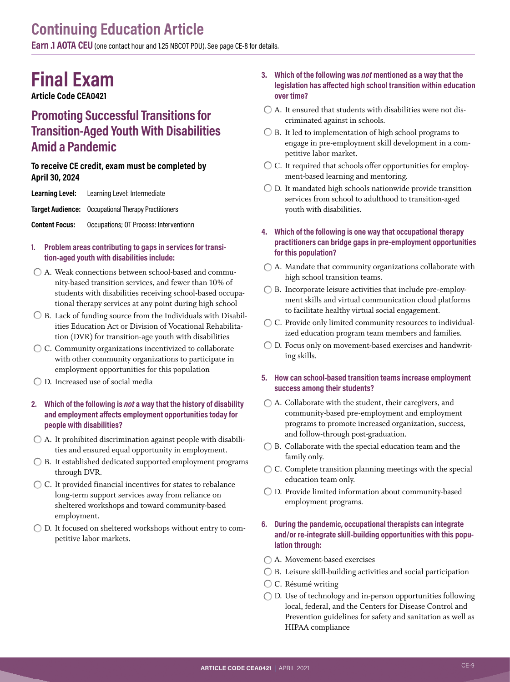**Earn .1 AOTA CEU** (one contact hour and 1.25 NBCOT PDU). Se[e page CE-8 for details.](#page-7-0)

# **Final Exam**

**Article Code CEA0421**

### **Promoting Successful Transitions for Transition-Aged Youth With Disabilities Amid a Pandemic**

#### **To receive CE credit, exam must be completed by April 30, 2024**

| Learning Level:       | Learning Level: Intermediate                               |
|-----------------------|------------------------------------------------------------|
|                       | <b>Target Audience:</b> Occupational Therapy Practitioners |
| <b>Content Focus:</b> | Occupations; OT Process: Interventionn                     |

- **1. Problem areas contributing to gaps in services for transition-aged youth with disabilities include:**
- A. Weak connections between school-based and community-based transition services, and fewer than 10% of students with disabilities receiving school-based occupational therapy services at any point during high school
- $\bigcirc$  B. Lack of funding source from the Individuals with Disabilities Education Act or Division of Vocational Rehabilitation (DVR) for transition-age youth with disabilities
- C. Community organizations incentivized to collaborate with other community organizations to participate in employment opportunities for this population
- D. Increased use of social media

#### **2. Which of the following is** *not* **a way that the history of disability and employment affects employment opportunities today for people with disabilities?**

- $\bigcirc$  A. It prohibited discrimination against people with disabilities and ensured equal opportunity in employment.
- $\bigcirc$  B. It established dedicated supported employment programs through DVR.
- C. It provided financial incentives for states to rebalance long-term support services away from reliance on sheltered workshops and toward community-based employment.
- D. It focused on sheltered workshops without entry to competitive labor markets.

#### **3. Which of the following was** *not* **mentioned as a way that the legislation has affected high school transition within education over time?**

- $\bigcirc$  A. It ensured that students with disabilities were not discriminated against in schools.
- $\bigcirc$  B. It led to implementation of high school programs to engage in pre-employment skill development in a competitive labor market.
- $\bigcirc$  C. It required that schools offer opportunities for employment-based learning and mentoring.
- $\bigcirc$  D. It mandated high schools nationwide provide transition services from school to adulthood to transition-aged youth with disabilities.
- **4. Which of the following is one way that occupational therapy practitioners can bridge gaps in pre-employment opportunities for this population?**
- A. Mandate that community organizations collaborate with high school transition teams.
- B. Incorporate leisure activities that include pre-employment skills and virtual communication cloud platforms to facilitate healthy virtual social engagement.
- C. Provide only limited community resources to individualized education program team members and families.
- D. Focus only on movement-based exercises and handwriting skills.
- **5. How can school-based transition teams increase employment success among their students?**
- A. Collaborate with the student, their caregivers, and community-based pre-employment and employment programs to promote increased organization, success, and follow-through post-graduation.
- $\bigcirc$  B. Collaborate with the special education team and the family only.
- C. Complete transition planning meetings with the special education team only.
- D. Provide limited information about community-based employment programs.

#### **6. During the pandemic, occupational therapists can integrate and/or re-integrate skill-building opportunities with this population through:**

- A. Movement-based exercises
- $\bigcirc$  B. Leisure skill-building activities and social participation
- C. Résumé writing
- D. Use of technology and in-person opportunities following local, federal, and the Centers for Disease Control and Prevention guidelines for safety and sanitation as well as HIPAA compliance